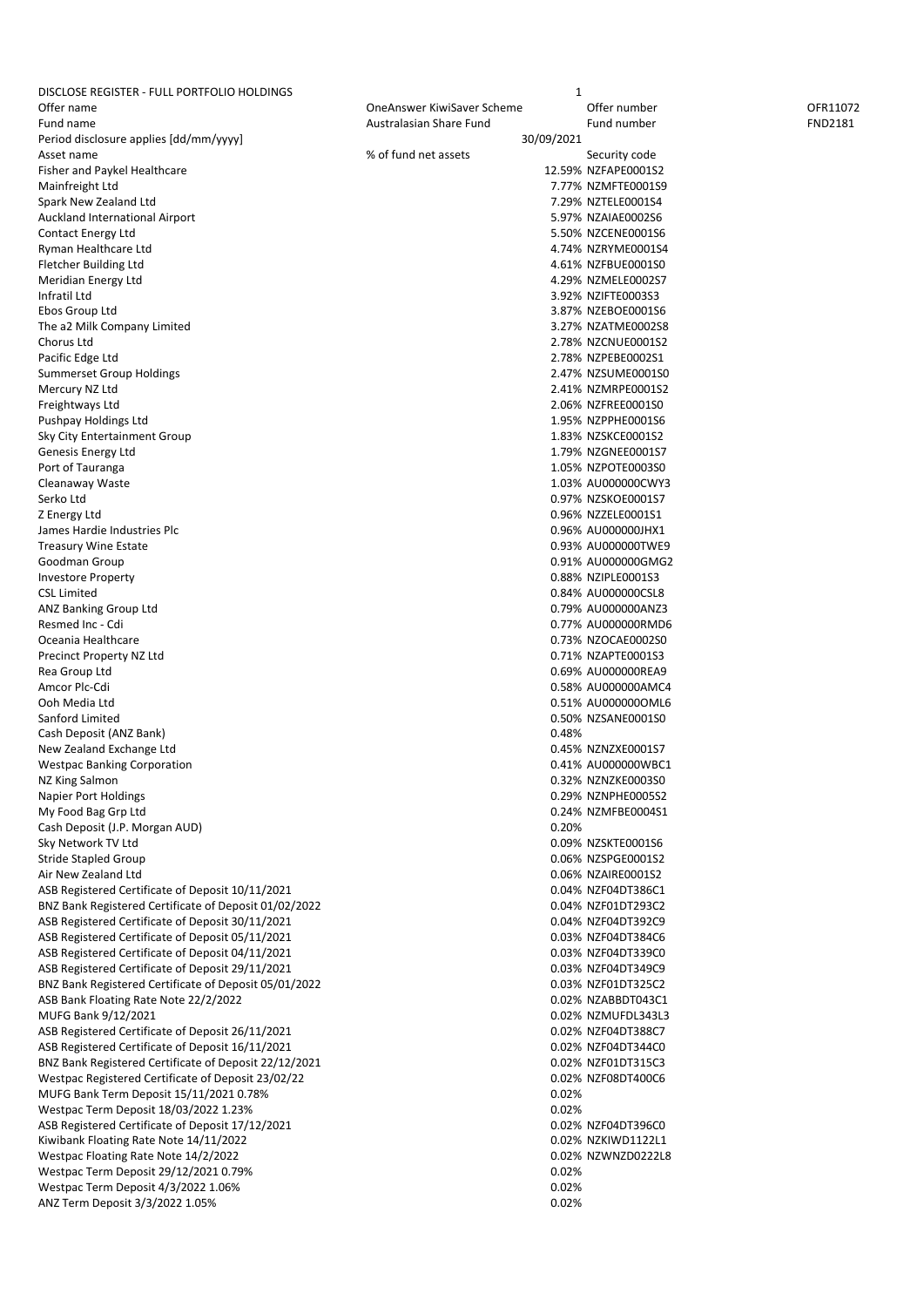| DISCLOSE REGISTER - FULL PORTFOLIO HOLDINGS           |                            | 1                   |                |
|-------------------------------------------------------|----------------------------|---------------------|----------------|
| Offer name                                            | OneAnswer KiwiSaver Scheme | Offer number        | OFR11072       |
| Fund name                                             | Australasian Share Fund    | Fund number         | <b>FND2181</b> |
| Period disclosure applies [dd/mm/yyyy]                | 30/09/2021                 |                     |                |
| Asset name                                            | % of fund net assets       | Security code       |                |
| Fisher and Paykel Healthcare                          |                            | 12.59% NZFAPE0001S2 |                |
| Mainfreight Ltd                                       |                            | 7.77% NZMFTE0001S9  |                |
| Spark New Zealand Ltd                                 |                            | 7.29% NZTELE0001S4  |                |
|                                                       |                            |                     |                |
| <b>Auckland International Airport</b>                 |                            | 5.97% NZAIAE0002S6  |                |
| Contact Energy Ltd                                    |                            | 5.50% NZCENE0001S6  |                |
| Ryman Healthcare Ltd                                  |                            | 4.74% NZRYME0001S4  |                |
| Fletcher Building Ltd                                 |                            | 4.61% NZFBUE0001S0  |                |
| Meridian Energy Ltd                                   |                            | 4.29% NZMELE0002S7  |                |
| Infratil Ltd                                          |                            | 3.92% NZIFTE0003S3  |                |
| Ebos Group Ltd                                        |                            | 3.87% NZEBOE0001S6  |                |
| The a2 Milk Company Limited                           |                            | 3.27% NZATME0002S8  |                |
| Chorus Ltd                                            |                            | 2.78% NZCNUE0001S2  |                |
| Pacific Edge Ltd                                      |                            | 2.78% NZPEBE0002S1  |                |
|                                                       |                            | 2.47% NZSUME0001S0  |                |
| Summerset Group Holdings                              |                            |                     |                |
| Mercury NZ Ltd                                        |                            | 2.41% NZMRPE0001S2  |                |
| Freightways Ltd                                       |                            | 2.06% NZFREE0001S0  |                |
| Pushpay Holdings Ltd                                  |                            | 1.95% NZPPHE0001S6  |                |
| Sky City Entertainment Group                          |                            | 1.83% NZSKCE0001S2  |                |
| Genesis Energy Ltd                                    |                            | 1.79% NZGNEE0001S7  |                |
| Port of Tauranga                                      |                            | 1.05% NZPOTE0003S0  |                |
| Cleanaway Waste                                       |                            | 1.03% AU000000CWY3  |                |
| Serko Ltd                                             |                            | 0.97% NZSKOE0001S7  |                |
| Z Energy Ltd                                          |                            | 0.96% NZZELE0001S1  |                |
| James Hardie Industries Plc                           |                            | 0.96% AU000000JHX1  |                |
|                                                       |                            |                     |                |
| <b>Treasury Wine Estate</b>                           |                            | 0.93% AU000000TWE9  |                |
| Goodman Group                                         |                            | 0.91% AU000000GMG2  |                |
| <b>Investore Property</b>                             |                            | 0.88% NZIPLE0001S3  |                |
| <b>CSL Limited</b>                                    |                            | 0.84% AU000000CSL8  |                |
| ANZ Banking Group Ltd                                 |                            | 0.79% AU000000ANZ3  |                |
| Resmed Inc - Cdi                                      |                            | 0.77% AU000000RMD6  |                |
| Oceania Healthcare                                    |                            | 0.73% NZOCAE0002S0  |                |
| Precinct Property NZ Ltd                              |                            | 0.71% NZAPTE0001S3  |                |
| Rea Group Ltd                                         |                            | 0.69% AU000000REA9  |                |
| Amcor Plc-Cdi                                         |                            |                     |                |
|                                                       |                            | 0.58% AU000000AMC4  |                |
| Ooh Media Ltd                                         |                            | 0.51% AU0000000ML6  |                |
| Sanford Limited                                       |                            | 0.50% NZSANE0001S0  |                |
| Cash Deposit (ANZ Bank)                               | 0.48%                      |                     |                |
| New Zealand Exchange Ltd                              |                            | 0.45% NZNZXE0001S7  |                |
| <b>Westpac Banking Corporation</b>                    |                            | 0.41% AU000000WBC1  |                |
| NZ King Salmon                                        |                            | 0.32% NZNZKE0003S0  |                |
| Napier Port Holdings                                  |                            | 0.29% NZNPHE0005S2  |                |
| My Food Bag Grp Ltd                                   |                            | 0.24% NZMFBE0004S1  |                |
|                                                       |                            |                     |                |
| Cash Deposit (J.P. Morgan AUD)                        | 0.20%                      |                     |                |
| Sky Network TV Ltd                                    |                            | 0.09% NZSKTE0001S6  |                |
| Stride Stapled Group                                  |                            | 0.06% NZSPGE0001S2  |                |
| Air New Zealand Ltd                                   |                            | 0.06% NZAIRE0001S2  |                |
| ASB Registered Certificate of Deposit 10/11/2021      |                            | 0.04% NZF04DT386C1  |                |
| BNZ Bank Registered Certificate of Deposit 01/02/2022 |                            | 0.04% NZF01DT293C2  |                |
| ASB Registered Certificate of Deposit 30/11/2021      |                            | 0.04% NZF04DT392C9  |                |
| ASB Registered Certificate of Deposit 05/11/2021      |                            | 0.03% NZF04DT384C6  |                |
| ASB Registered Certificate of Deposit 04/11/2021      |                            | 0.03% NZF04DT339C0  |                |
| ASB Registered Certificate of Deposit 29/11/2021      |                            |                     |                |
|                                                       |                            | 0.03% NZF04DT349C9  |                |
| BNZ Bank Registered Certificate of Deposit 05/01/2022 |                            | 0.03% NZF01DT325C2  |                |
| ASB Bank Floating Rate Note 22/2/2022                 |                            | 0.02% NZABBDT043C1  |                |
| MUFG Bank 9/12/2021                                   |                            | 0.02% NZMUFDL343L3  |                |
| ASB Registered Certificate of Deposit 26/11/2021      |                            | 0.02% NZF04DT388C7  |                |
| ASB Registered Certificate of Deposit 16/11/2021      |                            | 0.02% NZF04DT344C0  |                |
| BNZ Bank Registered Certificate of Deposit 22/12/2021 |                            | 0.02% NZF01DT315C3  |                |
| Westpac Registered Certificate of Deposit 23/02/22    |                            | 0.02% NZF08DT400C6  |                |
| MUFG Bank Term Deposit 15/11/2021 0.78%               | 0.02%                      |                     |                |
|                                                       |                            |                     |                |
| Westpac Term Deposit 18/03/2022 1.23%                 | 0.02%                      |                     |                |
| ASB Registered Certificate of Deposit 17/12/2021      |                            | 0.02% NZF04DT396C0  |                |
| Kiwibank Floating Rate Note 14/11/2022                |                            | 0.02% NZKIWD1122L1  |                |
| Westpac Floating Rate Note 14/2/2022                  |                            | 0.02% NZWNZD0222L8  |                |
| Westpac Term Deposit 29/12/2021 0.79%                 | 0.02%                      |                     |                |
| Westpac Term Deposit 4/3/2022 1.06%                   | 0.02%                      |                     |                |
| ANZ Term Deposit 3/3/2022 1.05%                       | 0.02%                      |                     |                |
|                                                       |                            |                     |                |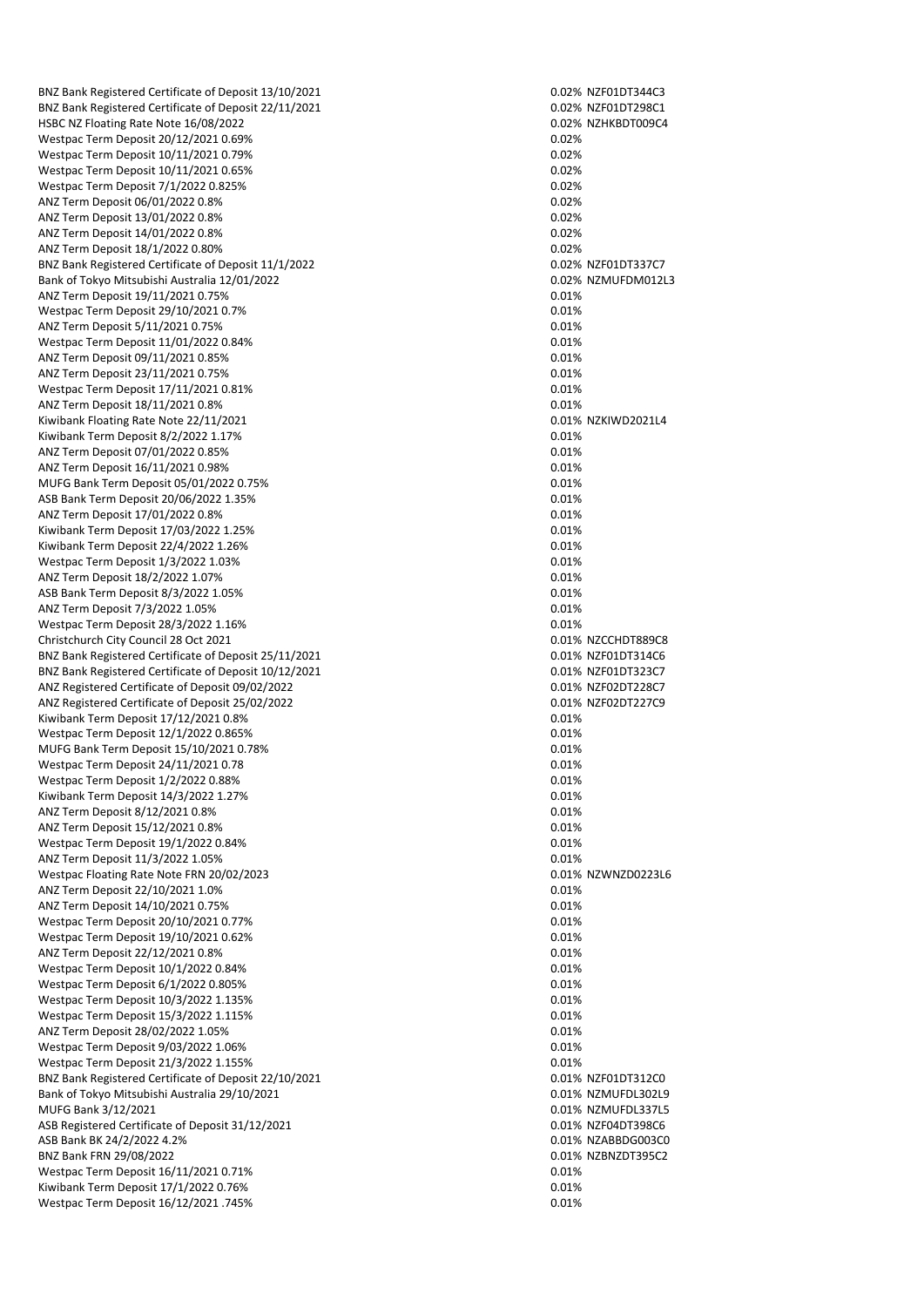BNZ Bank Registered Certificate of Deposit 13/10/2021 0.02% NZF01DT344C3 BNZ Bank Registered Certificate of Deposit 22/11/2021 0.02% NZF01DT298C1 HSBC NZ Floating Rate Note 16/08/2022 **0.02% N2HKBDT009C4** 0.02% NZHKBDT009C4 Westpac Term Deposit 20/12/2021 0.69% 0.02% 0.02% 0.02% 0.02% Westpac Term Deposit 10/11/2021 0.79% 0.02% 0.02% 0.02% Westpac Term Deposit 10/11/2021 0.65% 0.02% 0.02% 0.02% Westpac Term Deposit 7/1/2022 0.825% 0.02% 0.02% 0.02% 0.02% 0.02% 0.02% 0.02% 0.02% 0.02% 0.02% 0.02% 0.02% 0.02% 0.02% 0.02% 0.02% 0.02% 0.02% 0.02% 0.02% 0.02% 0.02% 0.02% 0.02% 0.02% 0.02% 0.02% 0.02% 0.02% 0.02% 0.02% ANZ Term Deposit 06/01/2022 0.8% ANZ Term Deposit 13/01/2022 0.8% 0.02% 0.02% 0.02% 0.02% 0.02% ANZ Term Deposit 14/01/2022 0.8% 0.02% 0.02% 0.02% ANZ Term Deposit 18/1/2022 0.80% 0.02% 0.02% 0.02% 0.02% 0.02% 0.02% 0.02% 0.02% 0.02% 0.02% 0.02% 0.02% 0.02% BNZ Bank Registered Certificate of Deposit 11/1/2022<br>
Bank of Tokyo Mitsubishi Australia 12/01/2022 0.02% NZMUFDM012L3 Bank of Tokyo Mitsubishi Australia 12/01/2022 ANZ Term Deposit 19/11/2021 0.75% 0.01% Westpac Term Deposit 29/10/2021 0.7% 0.01% 0.01% 0.01% 0.01% 0.01% ANZ Term Deposit 5/11/2021 0.75% 0.01% 0.01% 0.01% 0.01% 0.01% 0.01% Westpac Term Deposit 11/01/2022 0.84% 0.01% 0.01% 0.01% 0.01% ANZ Term Deposit 09/11/2021 0.85% 0.01% 0.01% 0.01% 0.01% 0.01% ANZ Term Deposit 23/11/2021 0.75% 0.01% 0.01% 0.01% 0.01% 0.01% Westpac Term Deposit 17/11/2021 0.81% 0.01% 0.01% 0.01% 0.01% ANZ Term Deposit 18/11/2021 0.8% 0.01% 0.01% 0.01% 0.01% 0.01% 0.01% 0.01% 0.01% 0.01% 0.01% 0.01% 0.01% 0.01%<br>Kiwibank Floating Rate Note 22/11/2021 0.01% 0.01% 0.01% 0.01% 0.01% 0.01% 0.01% 0.01% 0.01% 0.01% 0.01% 0.01% Kiwibank Floating Rate Note 22/11/2021 Kiwibank Term Deposit 8/2/2022 1.17% 0.01% ANZ Term Deposit 07/01/2022 0.85% 0.01% 0.01% 0.01% 0.01% 0.01% ANZ Term Deposit 16/11/2021 0.98% 0.01% 0.01% 0.01% 0.01% 0.01% MUFG Bank Term Deposit 05/01/2022 0.75% 0.01% ASB Bank Term Deposit 20/06/2022 1.35% 0.01% 0.01% 0.01% 0.01% 0.01% ANZ Term Deposit 17/01/2022 0.8% 0.01% 0.01% 0.01% 0.01% 0.01% 0.01% Kiwibank Term Deposit 17/03/2022 1.25% 0.01% Kiwibank Term Deposit 22/4/2022 1.26% 0.01% 0.01% 0.01% 0.01% 0.01% 0.01% 0.01% Westpac Term Deposit 1/3/2022 1.03% 0.01% 0.01% 0.01% 0.01% 0.01% ANZ Term Deposit 18/2/2022 1.07% 0.01% 0.01% 0.01% 0.01% 0.01% 0.01% 0.01% 0.01% 0.01% 0.01% 0.01% 0.01% 0.01% ASB Bank Term Deposit 8/3/2022 1.05% 0.01% 0.01% 0.01% 0.01% 0.01% ANZ Term Deposit 7/3/2022 1.05% 0.01% 0.01% 0.01% 0.01% 0.01% 0.01% 0.01% 0.01% 0.01% 0.01% 0.01% 0.01% 0.01% 0<br>Westpac Term Deposit 28/3/2022 1.16% 0.01% 0.01% 0.01% 0.01% 0.01% 0.01% 0.01% 0.01% 0.01% 0.01% 0.01% 0.01% 0 Westpac Term Deposit 28/3/2022 1.16% Christchurch City Council 28 Oct 2021 0.01% NZCCHDT889C8<br>
RNZ Bank Registered Certificate of Denosit 25/11/2021 0.01% NZEQ10T314C6 BNZ Bank Registered Certificate of Deposit 25/11/2021 BNZ Bank Registered Certificate of Deposit 10/12/2021 0.01% NZF01DT323C7 ANZ Registered Certificate of Deposit 09/02/2022<br>ANZ Registered Certificate of Deposit 25/02/2022 0.01% 0.01% NZF02DT227C9 ANZ Registered Certificate of Deposit 25/02/2022 Kiwibank Term Deposit 17/12/2021 0.8% 0.01% 0.01% 0.01% 0.01% Westpac Term Deposit 12/1/2022 0.865% 0.01% 0.01% 0.01% 0.01% 0.01% MUFG Bank Term Deposit 15/10/2021 0.78% 0.01% 0.01% 0.01% 0.01% Westpac Term Deposit 24/11/2021 0.78 0.01% 0.01% 0.01% 0.01% 0.01% 0.01% Westpac Term Deposit 1/2/2022 0.88% 0.01% 0.01% 0.01% 0.01% 0.01% Kiwibank Term Deposit 14/3/2022 1.27% 0.01% 0.01% 0.01% 0.01% 0.01% 0.01% 0.01% 0.01% 0.01% 0.01% 0.01% 0.01% 0<br>ANZ Term Deposit 8/12/2021 0.8% 0.01% 0.01% 0.01% 0.01% 0.01% 0.01% 0.01% 0.01% 0.01% 0.01% 0.01% 0.01% 0.01% ANZ Term Deposit 8/12/2021 0.8% 0.01% ANZ Term Deposit 15/12/2021 0.8% Westpac Term Deposit 19/1/2022 0.84% 0.01% 0.01% 0.01% 0.01% 0.01% 0.01% 0.01% 0.01% 0.01% 0.01% 0.01% 0.01% 0.01% 0.01% 0.01% 0.01% 0.01% 0.01% 0.01% 0.01% 0.01% 0.01% 0.01% 0.01% 0.01% 0.01% 0.01% 0.01% 0.01% 0.01% 0.01% ANZ Term Deposit 11/3/2022 1.05% 0.01% 0.01% 0.01% 0.01% 0.01% Westpac Floating Rate Note FRN 20/02/2023 0.01% NZWNZD0223L6 ANZ Term Deposit 22/10/2021 1.0% 0.01% 0.01% 0.01% 0.01% 0.01% ANZ Term Deposit 14/10/2021 0.75% 0.01% 0.01% 0.01% 0.01% 0.01% Westpac Term Deposit 20/10/2021 0.77% 0.01% 0.01% 0.01% 0.01% Westpac Term Deposit 19/10/2021 0.62% 0.01% 0.01% 0.01% 0.01% ANZ Term Deposit 22/12/2021 0.8% 0.01% 0.01% 0.01% 0.01% 0.01% 0.01% 0.01% 0.01% 0.01% 0.01% 0.01% 0.01% 0.01%<br>Westpac Term Deposit 10/1/2022 0.84% 0.01% 0.01% 0.01% 0.01% 0.01% 0.01% 0.01% 0.01% 0.01% 0.01% 0.01% 0.01% 0 Westpac Term Deposit 10/1/2022 0.84% Westpac Term Deposit 6/1/2022 0.805% 0.01% 0.01% 0.01% 0.01% 0.01% Westpac Term Deposit 10/3/2022 1.135% 0.01% 0.01% 0.01% 0.01% Westpac Term Deposit 15/3/2022 1.115% 0.01% 0.01% 0.01% 0.01% ANZ Term Deposit 28/02/2022 1.05% 0.01% 0.01% 0.01% 0.01% 0.01% 0.01% 0.01% 0.01% 0.01% 0.01% 0.01% 0.01% 0.01%<br>Westpac Term Deposit 9/03/2022 1.06% 0.01% 0.01% 0.01% 0.01% 0.01% 0.01% 0.01% 0.01% 0.01% 0.01% 0.01% 0.01% 0 Westpac Term Deposit 9/03/2022 1.06% Westpac Term Deposit 21/3/2022 1.155%<br>
RNZ Bank Registered Certificate of Deposit 22/10/2021<br>
0.01% NZE01DT312C0 BNZ Bank Registered Certificate of Deposit 22/10/2021 Bank of Tokyo Mitsubishi Australia 29/10/2021 0.01% 0.01% NZMUFDL302L9 MUFG Bank 3/12/2021 2001 2012 12:00:0018 2012 2021 20:00:00 20:00:00 20:00:00 20:00:00 20:00:00 20:00:00 20:00 ASB Registered Certificate of Deposit 31/12/2021 0.01% N2F04DT398C6 ASB Bank BK 24/2/2022 4.2% 0.01% NZABBDG003C0 BNZ Bank FRN 29/08/2022 2003 - 2014 0.01% NZBNZDT395C2 Westpac Term Deposit 16/11/2021 0.71% 0.01% 0.01% 0.01% 0.01% Kiwibank Term Deposit 17/1/2022 0.76% 0.01% 0.01% 0.01% 0.01% 0.01% Westpac Term Deposit 16/12/2021 .745% 0.01% 0.01% 0.01% 0.01% 0.01%